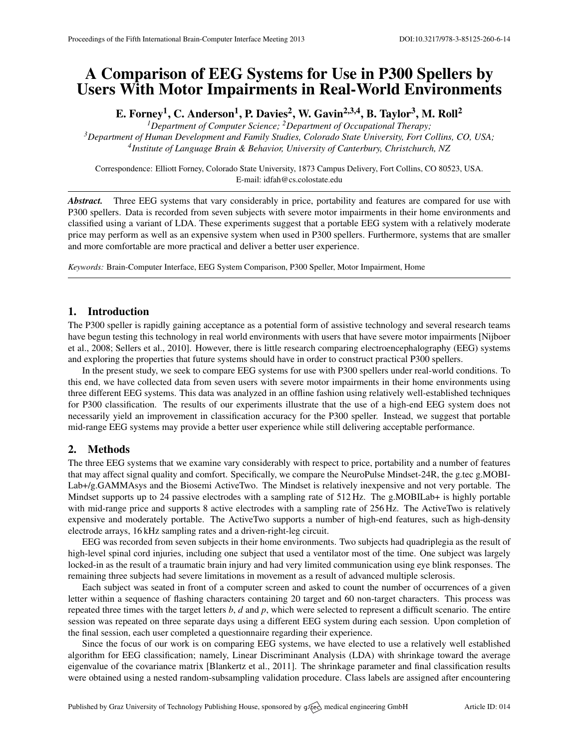# A Comparison of EEG Systems for Use in P300 Spellers by Users With Motor Impairments in Real-World Environments

E. Forney<sup>1</sup>, C. Anderson<sup>1</sup>, P. Davies<sup>2</sup>, W. Gavin<sup>2,3,4</sup>, B. Taylor<sup>3</sup>, M. Roll<sup>2</sup>

*<sup>1</sup>Department of Computer Science; <sup>2</sup>Department of Occupational Therapy; <sup>3</sup>Department of Human Development and Family Studies, Colorado State University, Fort Collins, CO, USA; 4 Institute of Language Brain & Behavior, University of Canterbury, Christchurch, NZ*

Correspondence: Elliott Forney, Colorado State University, 1873 Campus Delivery, Fort Collins, CO 80523, USA. E-mail: [idfah@cs.colostate.edu](mailto:idfah@cs.colostate.edu)

*Abstract.* Three EEG systems that vary considerably in price, portability and features are compared for use with P300 spellers. Data is recorded from seven subjects with severe motor impairments in their home environments and classified using a variant of LDA. These experiments suggest that a portable EEG system with a relatively moderate price may perform as well as an expensive system when used in P300 spellers. Furthermore, systems that are smaller and more comfortable are more practical and deliver a better user experience.

*Keywords:* Brain-Computer Interface, EEG System Comparison, P300 Speller, Motor Impairment, Home

## 1. Introduction

The P300 speller is rapidly gaining acceptance as a potential form of assistive technology and several research teams have begun testing this technology in real world environments with users that have severe motor impairments [\[Nijboer](#page-1-0) [et al.,](#page-1-0) [2008;](#page-1-0) [Sellers et al.,](#page-1-1) [2010\]](#page-1-1). However, there is little research comparing electroencephalography (EEG) systems and exploring the properties that future systems should have in order to construct practical P300 spellers.

In the present study, we seek to compare EEG systems for use with P300 spellers under real-world conditions. To this end, we have collected data from seven users with severe motor impairments in their home environments using three different EEG systems. This data was analyzed in an offline fashion using relatively well-established techniques for P300 classification. The results of our experiments illustrate that the use of a high-end EEG system does not necessarily yield an improvement in classification accuracy for the P300 speller. Instead, we suggest that portable mid-range EEG systems may provide a better user experience while still delivering acceptable performance.

## 2. Methods

The three EEG systems that we examine vary considerably with respect to price, portability and a number of features that may affect signal quality and comfort. Specifically, we compare the NeuroPulse Mindset-24R, the g.tec g.MOBI-Lab+/g.GAMMAsys and the Biosemi ActiveTwo. The Mindset is relatively inexpensive and not very portable. The Mindset supports up to 24 passive electrodes with a sampling rate of 512 Hz. The g.MOBILab+ is highly portable with mid-range price and supports 8 active electrodes with a sampling rate of 256 Hz. The ActiveTwo is relatively expensive and moderately portable. The ActiveTwo supports a number of high-end features, such as high-density electrode arrays, 16 kHz sampling rates and a driven-right-leg circuit.

EEG was recorded from seven subjects in their home environments. Two subjects had quadriplegia as the result of high-level spinal cord injuries, including one subject that used a ventilator most of the time. One subject was largely locked-in as the result of a traumatic brain injury and had very limited communication using eye blink responses. The remaining three subjects had severe limitations in movement as a result of advanced multiple sclerosis.

Each subject was seated in front of a computer screen and asked to count the number of occurrences of a given letter within a sequence of flashing characters containing 20 target and 60 non-target characters. This process was repeated three times with the target letters *b*, *d* and *p*, which were selected to represent a difficult scenario. The entire session was repeated on three separate days using a different EEG system during each session. Upon completion of the final session, each user completed a questionnaire regarding their experience.

Since the focus of our work is on comparing EEG systems, we have elected to use a relatively well established algorithm for EEG classification; namely, Linear Discriminant Analysis (LDA) with shrinkage toward the average eigenvalue of the covariance matrix [\[Blankertz et al.,](#page-1-2) [2011\]](#page-1-2). The shrinkage parameter and final classification results were obtained using a nested random-subsampling validation procedure. Class labels are assigned after encountering